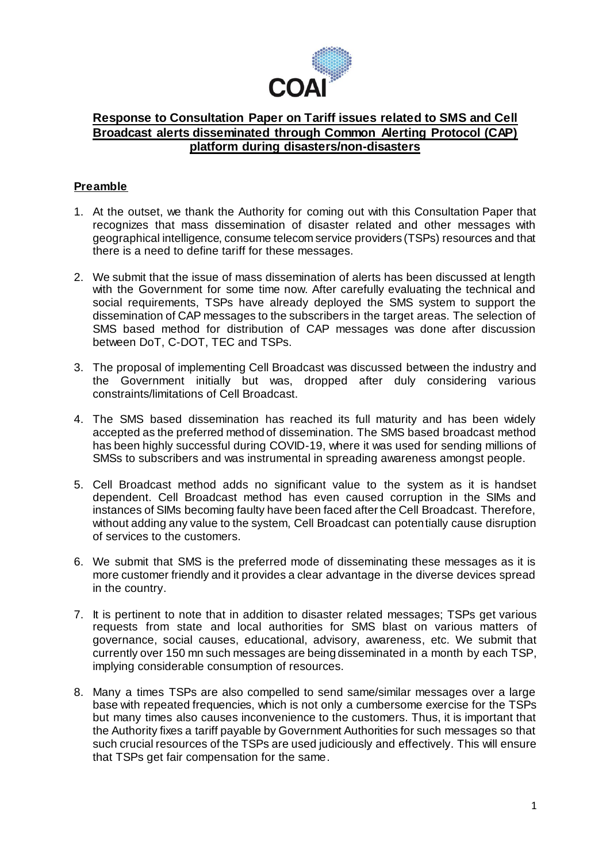

# **Response to Consultation Paper on Tariff issues related to SMS and Cell Broadcast alerts disseminated through Common Alerting Protocol (CAP) platform during disasters/non-disasters**

## **Preamble**

- 1. At the outset, we thank the Authority for coming out with this Consultation Paper that recognizes that mass dissemination of disaster related and other messages with geographical intelligence, consume telecom service providers (TSPs) resources and that there is a need to define tariff for these messages.
- 2. We submit that the issue of mass dissemination of alerts has been discussed at length with the Government for some time now. After carefully evaluating the technical and social requirements, TSPs have already deployed the SMS system to support the dissemination of CAP messages to the subscribers in the target areas. The selection of SMS based method for distribution of CAP messages was done after discussion between DoT, C-DOT, TEC and TSPs.
- 3. The proposal of implementing Cell Broadcast was discussed between the industry and the Government initially but was, dropped after duly considering various constraints/limitations of Cell Broadcast.
- 4. The SMS based dissemination has reached its full maturity and has been widely accepted as the preferred method of dissemination. The SMS based broadcast method has been highly successful during COVID-19, where it was used for sending millions of SMSs to subscribers and was instrumental in spreading awareness amongst people.
- 5. Cell Broadcast method adds no significant value to the system as it is handset dependent. Cell Broadcast method has even caused corruption in the SIMs and instances of SIMs becoming faulty have been faced after the Cell Broadcast. Therefore, without adding any value to the system, Cell Broadcast can potentially cause disruption of services to the customers.
- 6. We submit that SMS is the preferred mode of disseminating these messages as it is more customer friendly and it provides a clear advantage in the diverse devices spread in the country.
- 7. It is pertinent to note that in addition to disaster related messages; TSPs get various requests from state and local authorities for SMS blast on various matters of governance, social causes, educational, advisory, awareness, etc. We submit that currently over 150 mn such messages are being disseminated in a month by each TSP, implying considerable consumption of resources.
- 8. Many a times TSPs are also compelled to send same/similar messages over a large base with repeated frequencies, which is not only a cumbersome exercise for the TSPs but many times also causes inconvenience to the customers. Thus, it is important that the Authority fixes a tariff payable by Government Authorities for such messages so that such crucial resources of the TSPs are used judiciously and effectively. This will ensure that TSPs get fair compensation for the same.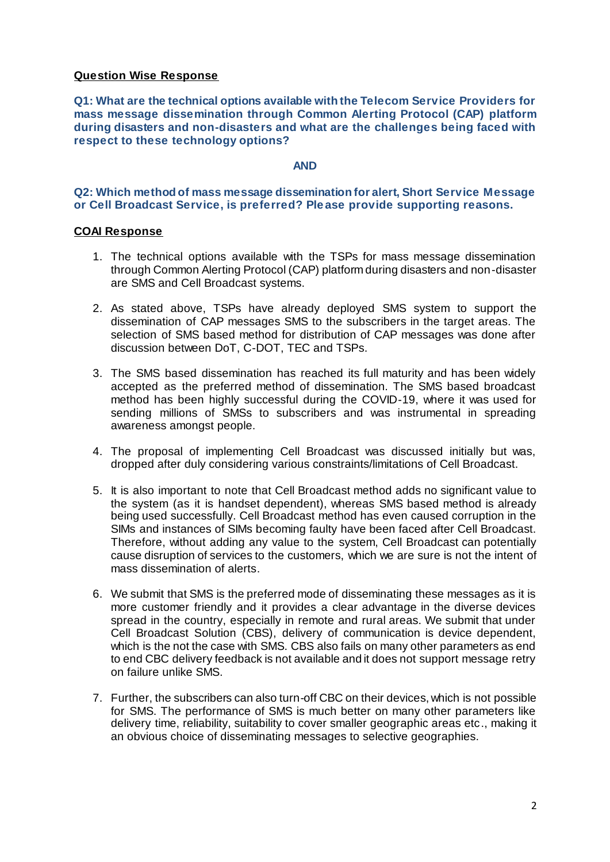### **Question Wise Response**

**Q1: What are the technical options available with the Telecom Service Providers for mass message dissemination through Common Alerting Protocol (CAP) platform during disasters and non-disasters and what are the challenges being faced with respect to these technology options?**

#### **AND**

**Q2: Which method of mass message dissemination for alert, Short Service Message or Cell Broadcast Service, is preferred? Ple ase provide supporting reasons.**

### **COAI Response**

- 1. The technical options available with the TSPs for mass message dissemination through Common Alerting Protocol (CAP) platform during disasters and non-disaster are SMS and Cell Broadcast systems.
- 2. As stated above, TSPs have already deployed SMS system to support the dissemination of CAP messages SMS to the subscribers in the target areas. The selection of SMS based method for distribution of CAP messages was done after discussion between DoT, C-DOT, TEC and TSPs.
- 3. The SMS based dissemination has reached its full maturity and has been widely accepted as the preferred method of dissemination. The SMS based broadcast method has been highly successful during the COVID-19, where it was used for sending millions of SMSs to subscribers and was instrumental in spreading awareness amongst people.
- 4. The proposal of implementing Cell Broadcast was discussed initially but was, dropped after duly considering various constraints/limitations of Cell Broadcast.
- 5. It is also important to note that Cell Broadcast method adds no significant value to the system (as it is handset dependent), whereas SMS based method is already being used successfully. Cell Broadcast method has even caused corruption in the SIMs and instances of SIMs becoming faulty have been faced after Cell Broadcast. Therefore, without adding any value to the system, Cell Broadcast can potentially cause disruption of services to the customers, which we are sure is not the intent of mass dissemination of alerts.
- 6. We submit that SMS is the preferred mode of disseminating these messages as it is more customer friendly and it provides a clear advantage in the diverse devices spread in the country, especially in remote and rural areas. We submit that under Cell Broadcast Solution (CBS), delivery of communication is device dependent, which is the not the case with SMS. CBS also fails on many other parameters as end to end CBC delivery feedback is not available and it does not support message retry on failure unlike SMS.
- 7. Further, the subscribers can also turn-off CBC on their devices, which is not possible for SMS. The performance of SMS is much better on many other parameters like delivery time, reliability, suitability to cover smaller geographic areas etc., making it an obvious choice of disseminating messages to selective geographies.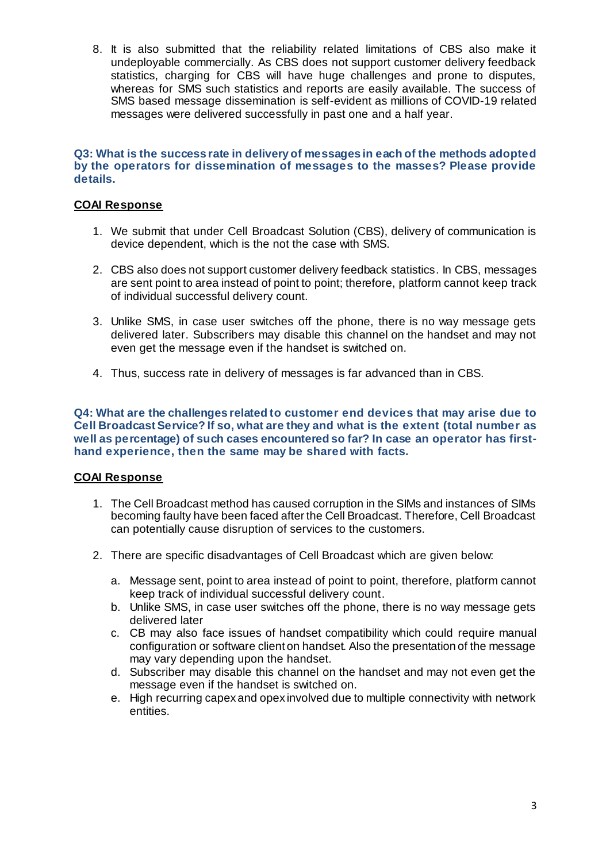8. It is also submitted that the reliability related limitations of CBS also make it undeployable commercially. As CBS does not support customer delivery feedback statistics, charging for CBS will have huge challenges and prone to disputes, whereas for SMS such statistics and reports are easily available. The success of SMS based message dissemination is self-evident as millions of COVID-19 related messages were delivered successfully in past one and a half year.

#### **Q3: What is the success rate in delivery of messages in each of the methods adopted by the operators for dissemination of messages to the masses? Please provide details.**

## **COAI Response**

- 1. We submit that under Cell Broadcast Solution (CBS), delivery of communication is device dependent, which is the not the case with SMS.
- 2. CBS also does not support customer delivery feedback statistics. In CBS, messages are sent point to area instead of point to point; therefore, platform cannot keep track of individual successful delivery count.
- 3. Unlike SMS, in case user switches off the phone, there is no way message gets delivered later. Subscribers may disable this channel on the handset and may not even get the message even if the handset is switched on.
- 4. Thus, success rate in delivery of messages is far advanced than in CBS.

**Q4: What are the challenges related to customer end devices that may arise due to Cell Broadcast Service? If so, what are they and what is the extent (total number as well as percentage) of such cases encountered so far? In case an operator has firsthand experience, then the same may be shared with facts.**

### **COAI Response**

- 1. The Cell Broadcast method has caused corruption in the SIMs and instances of SIMs becoming faulty have been faced after the Cell Broadcast. Therefore, Cell Broadcast can potentially cause disruption of services to the customers.
- 2. There are specific disadvantages of Cell Broadcast which are given below:
	- a. Message sent, point to area instead of point to point, therefore, platform cannot keep track of individual successful delivery count.
	- b. Unlike SMS, in case user switches off the phone, there is no way message gets delivered later
	- c. CB may also face issues of handset compatibility which could require manual configuration or software client on handset. Also the presentation of the message may vary depending upon the handset.
	- d. Subscriber may disable this channel on the handset and may not even get the message even if the handset is switched on.
	- e. High recurring capex and opex involved due to multiple connectivity with network entities.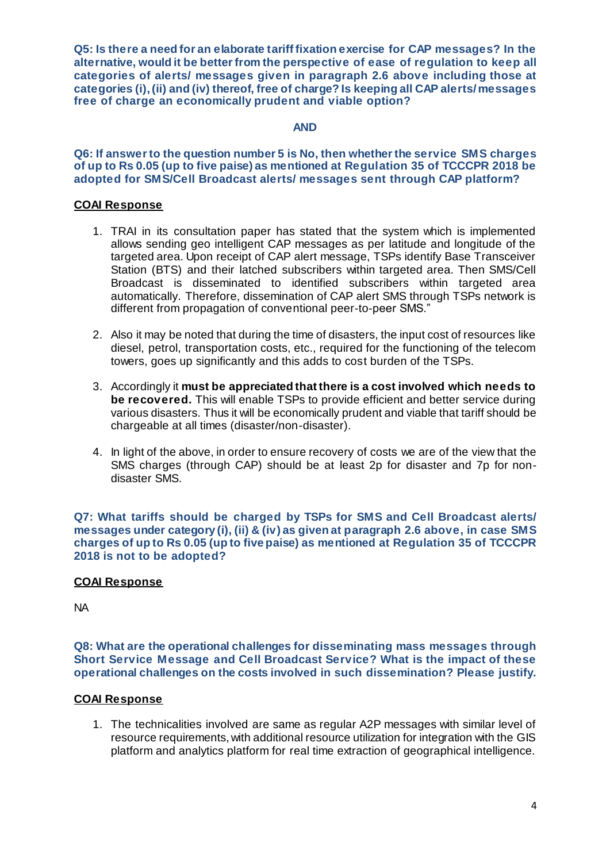**Q5: Is there a need for an elaborate tariff fixation exercise for CAP messages? In the alternative, would it be better from the perspective of ease of regulation to keep all categories of alerts/ messages given in paragraph 2.6 above including those at categories (i), (ii) and (iv) thereof, free of charge? Is keeping all CAP alerts/ messages free of charge an economically prudent and viable option?**

### **AND**

**Q6: If answer to the question number 5 is No, then whether the service SMS charges of up to Rs 0.05 (up to five paise) as mentioned at Regulation 35 of TCCCPR 2018 be adopted for SMS/Cell Broadcast alerts/ messages sent through CAP platform?**

### **COAI Response**

- 1. TRAI in its consultation paper has stated that the system which is implemented allows sending geo intelligent CAP messages as per latitude and longitude of the targeted area. Upon receipt of CAP alert message, TSPs identify Base Transceiver Station (BTS) and their latched subscribers within targeted area. Then SMS/Cell Broadcast is disseminated to identified subscribers within targeted area automatically. Therefore, dissemination of CAP alert SMS through TSPs network is different from propagation of conventional peer-to-peer SMS."
- 2. Also it may be noted that during the time of disasters, the input cost of resources like diesel, petrol, transportation costs, etc., required for the functioning of the telecom towers, goes up significantly and this adds to cost burden of the TSPs.
- 3. Accordingly it **must be appreciated that there is a cost involved which needs to be recovered.** This will enable TSPs to provide efficient and better service during various disasters. Thus it will be economically prudent and viable that tariff should be chargeable at all times (disaster/non-disaster).
- 4. In light of the above, in order to ensure recovery of costs we are of the view that the SMS charges (through CAP) should be at least 2p for disaster and 7p for nondisaster SMS.

**Q7: What tariffs should be charged by TSPs for SMS and Cell Broadcast alerts/ messages under category (i), (ii) & (iv) as given at paragraph 2.6 above, in case SMS charges of up to Rs 0.05 (up to five paise) as mentioned at Regulation 35 of TCCCPR 2018 is not to be adopted?**

## **COAI Response**

NA

**Q8: What are the operational challenges for disseminating mass messages through Short Service Message and Cell Broadcast Service? What is the impact of these operational challenges on the costs involved in such dissemination? Please justify.**

### **COAI Response**

1. The technicalities involved are same as regular A2P messages with similar level of resource requirements, with additional resource utilization for integration with the GIS platform and analytics platform for real time extraction of geographical intelligence.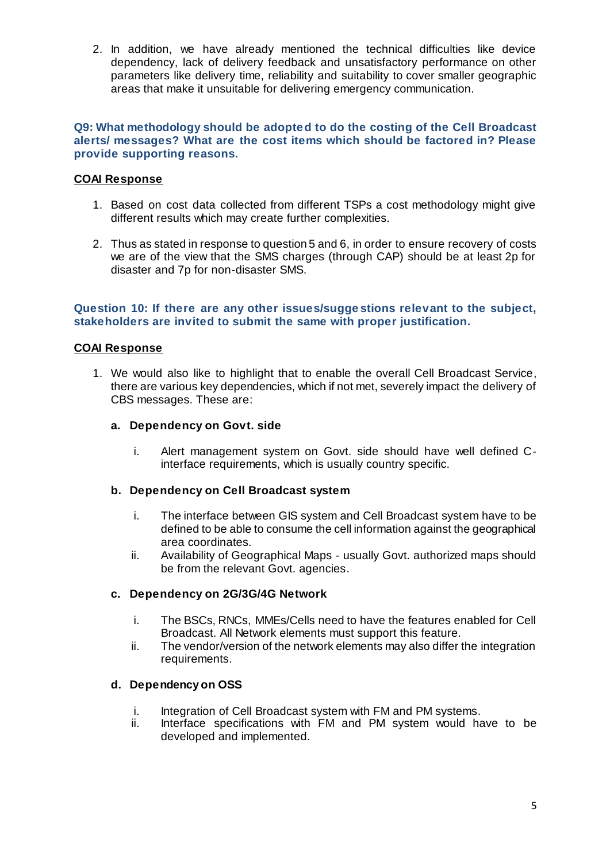2. In addition, we have already mentioned the technical difficulties like device dependency, lack of delivery feedback and unsatisfactory performance on other parameters like delivery time, reliability and suitability to cover smaller geographic areas that make it unsuitable for delivering emergency communication.

#### **Q9: What methodology should be adopted to do the costing of the Cell Broadcast alerts/ messages? What are the cost items which should be factored in? Please provide supporting reasons.**

## **COAI Response**

- 1. Based on cost data collected from different TSPs a cost methodology might give different results which may create further complexities.
- 2. Thus as stated in response to question 5 and 6, in order to ensure recovery of costs we are of the view that the SMS charges (through CAP) should be at least 2p for disaster and 7p for non-disaster SMS.

### **Question 10: If there are any other issues/sugge stions relevant to the subject, stakeholders are invited to submit the same with proper justification.**

### **COAI Response**

1. We would also like to highlight that to enable the overall Cell Broadcast Service, there are various key dependencies, which if not met, severely impact the delivery of CBS messages. These are:

#### **a. Dependency on Govt. side**

i. Alert management system on Govt. side should have well defined Cinterface requirements, which is usually country specific.

#### **b. Dependency on Cell Broadcast system**

- i. The interface between GIS system and Cell Broadcast system have to be defined to be able to consume the cell information against the geographical area coordinates.
- ii. Availability of Geographical Maps usually Govt. authorized maps should be from the relevant Govt. agencies.

#### **c. Dependency on 2G/3G/4G Network**

- i. The BSCs, RNCs, MMEs/Cells need to have the features enabled for Cell Broadcast. All Network elements must support this feature.
- ii. The vendor/version of the network elements may also differ the integration requirements.

### **d. Dependency on OSS**

- i. Integration of Cell Broadcast system with FM and PM systems.
- ii. Interface specifications with FM and PM system would have to be developed and implemented.